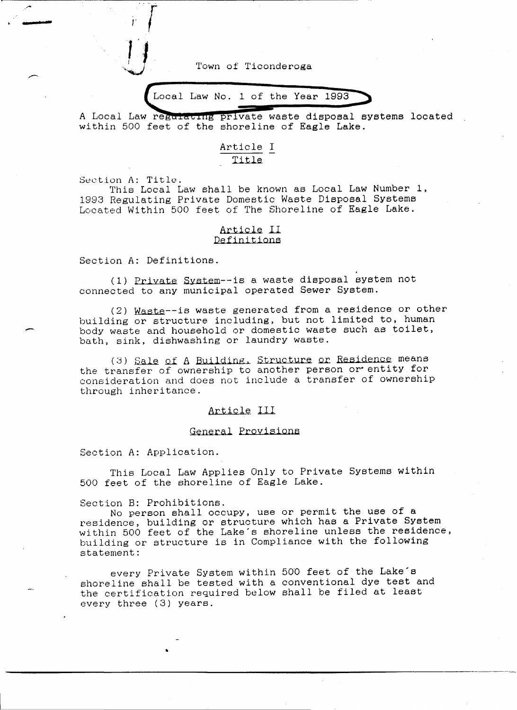Town of Ticonderoga

Local Law No. 1 of the Year 1993

A Local Law regulating private waste disposal systems located within 500 feet of the shoreline of Eagle Lake.

# Article I Title

Section A: Title.

**.... -**

-

This Local Law shall be known as Local Law Number 1, 1993 Regulating Private Domestic Waste Disposal Systems Located Within 500 feet of The Shoreline of Eagle Lake.

#### Article II Definitions

Section A: Definitions.

I *r* 

(1) Private System--is a waste disposal system not connected to any municipal operated Sewer System.

(2) Waste--is waste generated from a residence or other building or structure including, but not limited to, human body waste and household or domestic waste such as toilet, bath, sink, dishwashing or laundry waste.

(3) Sale of A Building, Structure or Residence means the transfer of ownership to another person or entity for oonsideration and does not include a transfer of ownership through inheritance.

### Article. lli.

#### General Provisions

Section A: Application.

This Local Law Applies Only to Private Systems within 500 feet of the shoreline of Eagle Lake.

Section B: Prohibitions.

•

No person shall occupy, use or permit the use of a residence, building or structure which has a Private System within 500 feet of the Lake's shoreline unless the residence, building or structure is in Compliance with the following statement:

every Private System within 500 feet of the Lake's shoreline shall be tested with a conventional dye test and the certification required below shall be filed at least every three (3) years.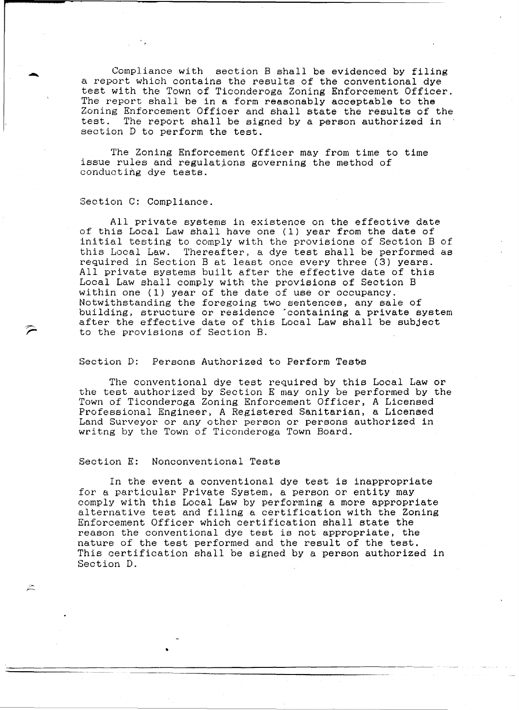Compliance with section B shall be evidenced by filing a report which contains the results of the conventional dye test with the Town of Ticonderoga Zoning Enforcement Officer. The report shall be in a form reasonably acceptable to the Zoning Enforcement Officer and shall state the results of the test. The report shall be signed by a person authorized in section D to perform the test.

The Zoning Enforcement Officer may from time to time issue rules and regulations governing the method of conducting dye tests.

#### Section C: Compliance.

All private systems in existence on the effective date of this Local Law shall have one (1) year from the date of initial testing to comply with the provisions of Section B of this Local Law. Thereafter, a dye test shall be performed as Thereafter, a dye test shall be performed as required in Section B at least once every three (3) years. All private systems built after the effective date of this Local Law shall comply with the provisions of Section B within one (1) year of the date of use or occupancy. Notwithstanding the foregoing two sentences, any sale of building, structure or residence 'containing a private system after the effective date of this Local Law shall be subject to the provisions of Section B.

#### Section D: Persons Authorized to Perform Tests

The conventional dye test required by this Local Law or the test authorized by Section E may only be performed by the Town of Ticonderoga Zoning Enforcement Officer, A Licensed Professional Engineer, A Registered Sanitarian, a Licensed Land Surveyor or any other person or persons authorized in writng by the Town of Ticonderoga Town Board.

#### Section E: Nonconventional Tests

•

 $\approx$ 

In the event a conventional dye test is inappropriate for a particular Private System, a person or entity may comply with this Local Law by performing a more appropriate alternative test and filing a certification with the Zoning Enforcement Officer which certification shall state the reason the conventional dye test is not appropriate, the nature of the test performed and the result of the test. This certification shall be signed by a person authorized in Section D.